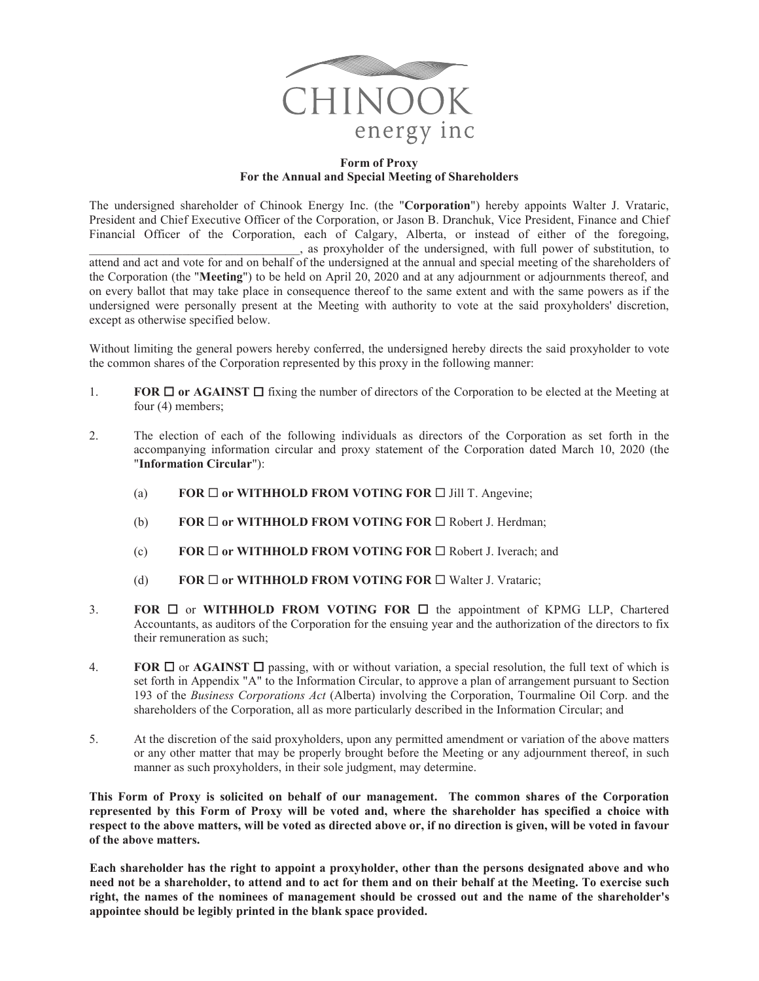

## **Form of Proxy For the Annual and Special Meeting of Shareholders**

The undersigned shareholder of Chinook Energy Inc. (the "**Corporation**") hereby appoints Walter J. Vrataric, President and Chief Executive Officer of the Corporation, or Jason B. Dranchuk, Vice President, Finance and Chief Financial Officer of the Corporation, each of Calgary, Alberta, or instead of either of the foregoing, \_\_\_\_\_\_\_\_\_\_\_\_\_\_\_\_\_\_\_\_\_\_\_\_\_\_\_\_\_\_\_\_\_\_, as proxyholder of the undersigned, with full power of substitution, to attend and act and vote for and on behalf of the undersigned at the annual and special meeting of the shareholders of the Corporation (the "**Meeting**") to be held on April 20, 2020 and at any adjournment or adjournments thereof, and on every ballot that may take place in consequence thereof to the same extent and with the same powers as if the undersigned were personally present at the Meeting with authority to vote at the said proxyholders' discretion, except as otherwise specified below.

Without limiting the general powers hereby conferred, the undersigned hereby directs the said proxyholder to vote the common shares of the Corporation represented by this proxy in the following manner:

- 1. **FOR**  $\Box$  **or AGAINST**  $\Box$  fixing the number of directors of the Corporation to be elected at the Meeting at four (4) members;
- 2. The election of each of the following individuals as directors of the Corporation as set forth in the accompanying information circular and proxy statement of the Corporation dated March 10, 2020 (the "**Information Circular**"):
	- (a) **FOR**  $\Box$  **or WITHHOLD FROM VOTING FOR**  $\Box$  **Jill T. Angevine;**
	- (b) **FOR**  $\Box$  **or WITHHOLD FROM VOTING FOR**  $\Box$  Robert J. Herdman;
	- (c) **FOR □ or WITHHOLD FROM VOTING FOR □** Robert J. Iverach; and
	- (d) **FOR**  $\Box$  **or WITHHOLD FROM VOTING FOR**  $\Box$  Walter J. Vrataric;
- 3. **FOR**  $\Box$  or **WITHHOLD FROM VOTING FOR**  $\Box$  the appointment of KPMG LLP, Chartered Accountants, as auditors of the Corporation for the ensuing year and the authorization of the directors to fix their remuneration as such;
- 4. **FOR**  $\Box$  or **AGAINST**  $\Box$  passing, with or without variation, a special resolution, the full text of which is set forth in Appendix "A" to the Information Circular, to approve a plan of arrangement pursuant to Section 193 of the *Business Corporations Act* (Alberta) involving the Corporation, Tourmaline Oil Corp. and the shareholders of the Corporation, all as more particularly described in the Information Circular; and
- 5. At the discretion of the said proxyholders, upon any permitted amendment or variation of the above matters or any other matter that may be properly brought before the Meeting or any adjournment thereof, in such manner as such proxyholders, in their sole judgment, may determine.

**This Form of Proxy is solicited on behalf of our management. The common shares of the Corporation represented by this Form of Proxy will be voted and, where the shareholder has specified a choice with respect to the above matters, will be voted as directed above or, if no direction is given, will be voted in favour of the above matters.**

**Each shareholder has the right to appoint a proxyholder, other than the persons designated above and who need not be a shareholder, to attend and to act for them and on their behalf at the Meeting. To exercise such right, the names of the nominees of management should be crossed out and the name of the shareholder's appointee should be legibly printed in the blank space provided.**